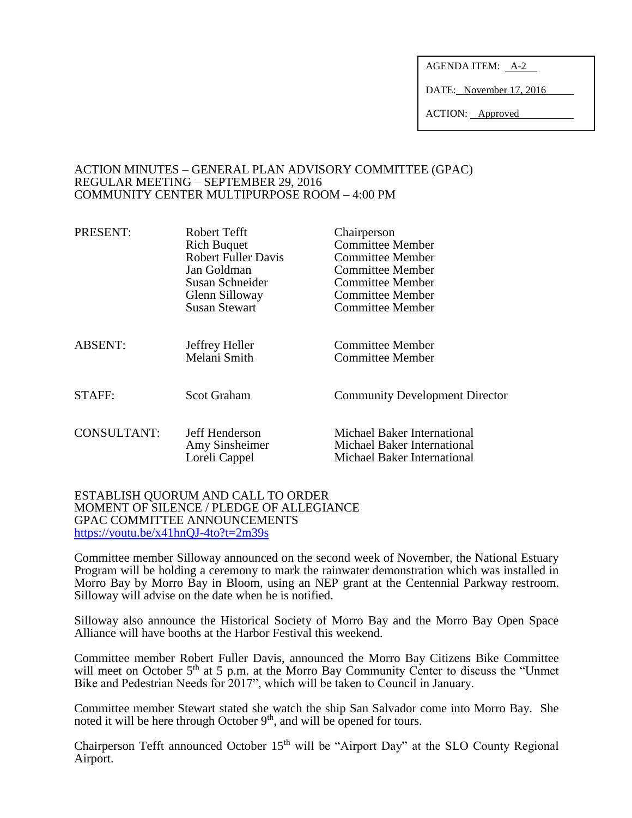AGENDA ITEM: A-2

DATE: November 17, 2016

ACTION: Approved

### ACTION MINUTES – GENERAL PLAN ADVISORY COMMITTEE (GPAC) REGULAR MEETING – SEPTEMBER 29, 2016 COMMUNITY CENTER MULTIPURPOSE ROOM – 4:00 PM

| <b>Robert Fuller Davis</b><br>Jan Goldman<br>Susan Schneider<br>Glenn Silloway<br><b>Susan Stewart</b> | <b>Committee Member</b><br><b>Committee Member</b><br><b>Committee Member</b><br><b>Committee Member</b><br><b>Committee Member</b><br><b>Committee Member</b> |
|--------------------------------------------------------------------------------------------------------|----------------------------------------------------------------------------------------------------------------------------------------------------------------|
| Jeffrey Heller<br>Melani Smith                                                                         | Committee Member<br><b>Committee Member</b>                                                                                                                    |
| <b>Scot Graham</b>                                                                                     | <b>Community Development Director</b>                                                                                                                          |
| Jeff Henderson<br>Amy Sinsheimer<br>Loreli Cappel                                                      | Michael Baker International<br>Michael Baker International<br>Michael Baker International                                                                      |
|                                                                                                        | <b>Rich Buquet</b>                                                                                                                                             |

#### ESTABLISH QUORUM AND CALL TO ORDER MOMENT OF SILENCE / PLEDGE OF ALLEGIANCE GPAC COMMITTEE ANNOUNCEMENTS <https://youtu.be/x41hnQJ-4to?t=2m39s>

Committee member Silloway announced on the second week of November, the National Estuary Program will be holding a ceremony to mark the rainwater demonstration which was installed in Morro Bay by Morro Bay in Bloom, using an NEP grant at the Centennial Parkway restroom. Silloway will advise on the date when he is notified.

Silloway also announce the Historical Society of Morro Bay and the Morro Bay Open Space Alliance will have booths at the Harbor Festival this weekend.

Committee member Robert Fuller Davis, announced the Morro Bay Citizens Bike Committee will meet on October 5<sup>th</sup> at 5 p.m. at the Morro Bay Community Center to discuss the "Unmet Bike and Pedestrian Needs for 2017", which will be taken to Council in January.

Committee member Stewart stated she watch the ship San Salvador come into Morro Bay. She noted it will be here through October  $9<sup>th</sup>$ , and will be opened for tours.

Chairperson Tefft announced October  $15<sup>th</sup>$  will be "Airport Day" at the SLO County Regional Airport.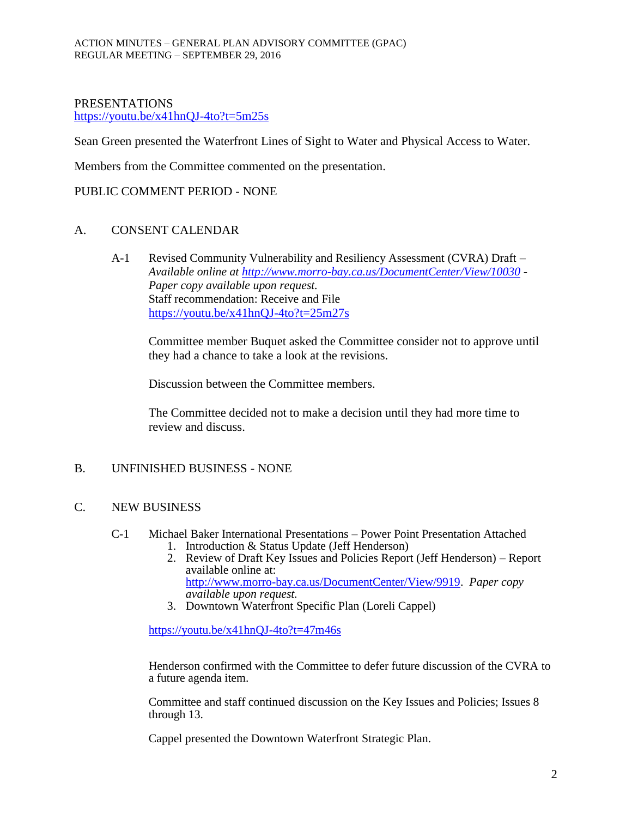### PRESENTATIONS <https://youtu.be/x41hnQJ-4to?t=5m25s>

Sean Green presented the Waterfront Lines of Sight to Water and Physical Access to Water.

Members from the Committee commented on the presentation.

PUBLIC COMMENT PERIOD - NONE

### A. CONSENT CALENDAR

A-1 Revised Community Vulnerability and Resiliency Assessment (CVRA) Draft – *Available online at<http://www.morro-bay.ca.us/DocumentCenter/View/10030> - Paper copy available upon request.* Staff recommendation: Receive and File <https://youtu.be/x41hnQJ-4to?t=25m27s>

Committee member Buquet asked the Committee consider not to approve until they had a chance to take a look at the revisions.

Discussion between the Committee members.

The Committee decided not to make a decision until they had more time to review and discuss.

## B. UNFINISHED BUSINESS - NONE

## C. NEW BUSINESS

- C-1 Michael Baker International Presentations Power Point Presentation Attached 1. Introduction & Status Update (Jeff Henderson)
	- 2. Review of Draft Key Issues and Policies Report (Jeff Henderson) Report available online at: [http://www.morro-bay.ca.us/DocumentCenter/View/9919.](http://www.morro-bay.ca.us/DocumentCenter/View/9919) *Paper copy available upon request.*
	- 3. Downtown Waterfront Specific Plan (Loreli Cappel)

<https://youtu.be/x41hnQJ-4to?t=47m46s>

Henderson confirmed with the Committee to defer future discussion of the CVRA to a future agenda item.

Committee and staff continued discussion on the Key Issues and Policies; Issues 8 through 13.

Cappel presented the Downtown Waterfront Strategic Plan.